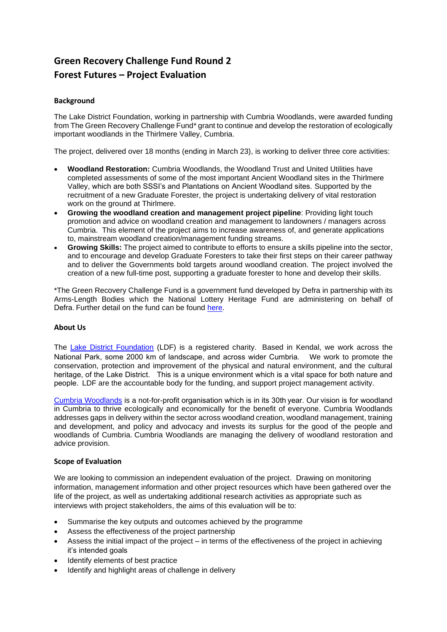# **Green Recovery Challenge Fund Round 2 Forest Futures – Project Evaluation**

#### **Background**

The Lake District Foundation, working in partnership with Cumbria Woodlands, were awarded funding from The Green Recovery Challenge Fund\* grant to continue and develop the restoration of ecologically important woodlands in the Thirlmere Valley, Cumbria.

The project, delivered over 18 months (ending in March 23), is working to deliver three core activities:

- **Woodland Restoration:** Cumbria Woodlands, the Woodland Trust and United Utilities have completed assessments of some of the most important Ancient Woodland sites in the Thirlmere Valley, which are both SSSI's and Plantations on Ancient Woodland sites. Supported by the recruitment of a new Graduate Forester, the project is undertaking delivery of vital restoration work on the ground at Thirlmere.
- **Growing the woodland creation and management project pipeline**: Providing light touch promotion and advice on woodland creation and management to landowners / managers across Cumbria. This element of the project aims to increase awareness of, and generate applications to, mainstream woodland creation/management funding streams.
- **Growing Skills:** The project aimed to contribute to efforts to ensure a skills pipeline into the sector, and to encourage and develop Graduate Foresters to take their first steps on their career pathway and to deliver the Governments bold targets around woodland creation. The project involved the creation of a new full-time post, supporting a graduate forester to hone and develop their skills.

\*The Green Recovery Challenge Fund is a government fund developed by Defra in partnership with its Arms-Length Bodies which the National Lottery Heritage Fund are administering on behalf of Defra. Further detail on the fund can be found [here.](https://www.gov.uk/government/news/governments-40-million-green-recovery-challenge-fund-opens-for-applications)

#### **About Us**

The [Lake District Foundation](https://www.lakedistrictfoundation.org/) (LDF) is a registered charity. Based in Kendal, we work across the National Park, some 2000 km of landscape, and across wider Cumbria.    We work to promote the conservation, protection and improvement of the physical and natural environment, and the cultural heritage, of the Lake District. This is a unique environment which is a vital space for both nature and people.  LDF are the accountable body for the funding, and support project management activity.

[Cumbria Woodlands](https://www.cumbriawoodlands.co.uk/) is a not-for-profit organisation which is in its 30th year. Our vision is for woodland in Cumbria to thrive ecologically and economically for the benefit of everyone. Cumbria Woodlands addresses gaps in delivery within the sector across woodland creation, woodland management, training and development, and policy and advocacy and invests its surplus for the good of the people and woodlands of Cumbria. Cumbria Woodlands are managing the delivery of woodland restoration and advice provision.

#### **Scope of Evaluation**

We are looking to commission an independent evaluation of the project. Drawing on monitoring information, management information and other project resources which have been gathered over the life of the project, as well as undertaking additional research activities as appropriate such as interviews with project stakeholders, the aims of this evaluation will be to:

- Summarise the key outputs and outcomes achieved by the programme
- Assess the effectiveness of the project partnership
- Assess the initial impact of the project in terms of the effectiveness of the project in achieving it's intended goals
- Identify elements of best practice
- Identify and highlight areas of challenge in delivery